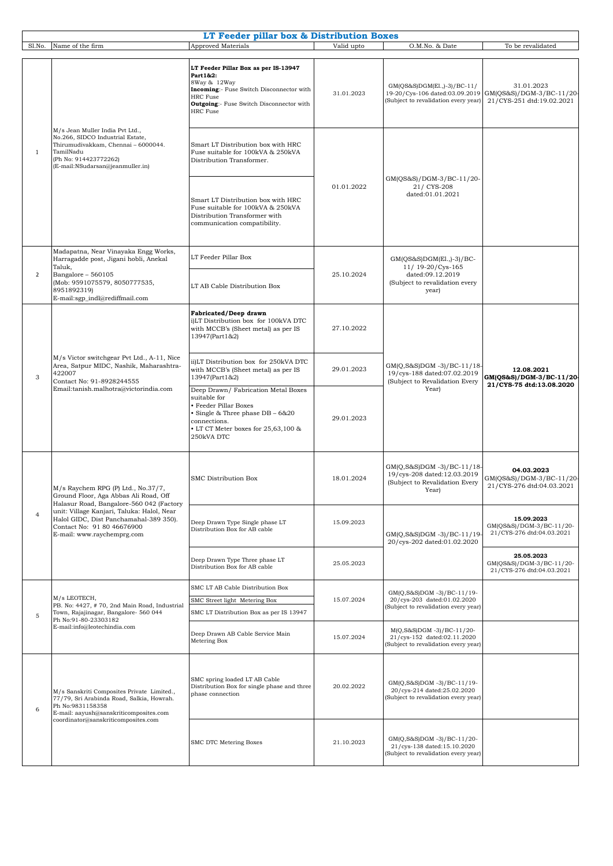|                |                                                                                                                                                                                                                                                                             | LT Feeder pillar box & Distribution Boxes                                                                                                                                                               |            |                                                                                                               |                                                                     |
|----------------|-----------------------------------------------------------------------------------------------------------------------------------------------------------------------------------------------------------------------------------------------------------------------------|---------------------------------------------------------------------------------------------------------------------------------------------------------------------------------------------------------|------------|---------------------------------------------------------------------------------------------------------------|---------------------------------------------------------------------|
| Sl.No.         | Name of the firm                                                                                                                                                                                                                                                            | Approved Materials                                                                                                                                                                                      | Valid upto | O.M.No. & Date                                                                                                | To be revalidated                                                   |
|                |                                                                                                                                                                                                                                                                             | LT Feeder Pillar Box as per IS-13947<br>Part 1&2:<br>8Way & 12Way<br>Incoming:- Fuse Switch Disconnector with<br><b>HRC</b> Fuse<br><b>Outgoing:</b> - Fuse Switch Disconnector with<br><b>HRC</b> Fuse | 31.01.2023 | GM(QS&S)DGM(El.,)-3)/BC-11/<br>19-20/Cys-106 dated:03.09.2019<br>(Subject to revalidation every year)         | 31.01.2023<br>GM(QS&S)/DGM-3/BC-11/20-<br>21/CYS-251 dtd:19.02.2021 |
| $\mathbf{1}$   | M/s Jean Muller India Pvt Ltd.,<br>No.266, SIDCO Industrial Estate,<br>Thirumudivakkam, Chennai - 6000044.<br>TamilNadu<br>(Ph No: 914423772262)<br>(E-mail:NSudarsan@jeanmuller.in)                                                                                        | Smart LT Distribution box with HRC<br>Fuse suitable for 100kVA & 250kVA<br>Distribution Transformer.                                                                                                    | 01.01.2022 | GM(QS&S)/DGM-3/BC-11/20-<br>21/ CYS-208<br>dated:01.01.2021                                                   |                                                                     |
|                |                                                                                                                                                                                                                                                                             | Smart LT Distribution box with HRC<br>Fuse suitable for 100kVA & 250kVA<br>Distribution Transformer with<br>communication compatibility.                                                                |            |                                                                                                               |                                                                     |
| $\overline{2}$ | Madapatna, Near Vinayaka Engg Works,<br>Harragadde post, Jigani hobli, Anekal<br>Taluk.<br>Bangalore - 560105<br>(Mob: 9591075579, 8050777535,<br>8951892319)<br>E-mail:sgp indl@rediffmail.com                                                                             | LT Feeder Pillar Box                                                                                                                                                                                    | 25.10.2024 | $GM(QS&S)DGM(E1.,-3)/BC-$<br>11/ 19-20/Cys-165<br>dated:09.12.2019<br>(Subject to revalidation every<br>year) |                                                                     |
|                |                                                                                                                                                                                                                                                                             | LT AB Cable Distribution Box                                                                                                                                                                            |            |                                                                                                               |                                                                     |
| 3              | M/s Victor switchgear Pvt Ltd., A-11, Nice<br>Area, Satpur MIDC, Nashik, Maharashtra-<br>422007<br>Contact No: 91-8928244555<br>Email:tanish.malhotra@victorindia.com                                                                                                       | Fabricated/Deep drawn<br>i)LT Distribution box for 100kVA DTC<br>with MCCB's (Sheet metal) as per IS<br>13947(Part1&2)                                                                                  | 27.10.2022 | GM(Q,S&S)DGM-3)/BC-11/18-<br>19/cys-188 dated:07.02.2019<br>(Subject to Revalidation Every<br>Year)           |                                                                     |
|                |                                                                                                                                                                                                                                                                             | ii)LT Distribution box for 250kVA DTC<br>with MCCB's (Sheet metal) as per IS<br>13947(Part1&2)                                                                                                          | 29.01.2023 |                                                                                                               | 12.08.2021<br>GM(QS&S)/DGM-3/BC-11/20-                              |
|                |                                                                                                                                                                                                                                                                             | Deep Drawn/Fabrication Metal Boxes<br>suitable for<br>Feeder Pillar Boxes<br>Single & Three phase DB - 6&20<br>connections.<br>• LT CT Meter boxes for 25,63,100 &<br>250kVA DTC                        | 29.01.2023 |                                                                                                               | 21/CYS-75 dtd:13.08.2020                                            |
| $\overline{4}$ | M/s Raychem RPG (P) Ltd., No.37/7,<br>Ground Floor, Aga Abbas Ali Road, Off<br>Halasur Road, Bangalore-560 042 (Factory<br>unit: Village Kanjari, Taluka: Halol, Near<br>Halol GIDC, Dist Panchamahal-389 350).<br>Contact No: 91 80 46676900<br>E-mail: www.raychemprg.com | SMC Distribution Box                                                                                                                                                                                    | 18.01.2024 | GM(Q,S&S)DGM -3)/BC-11/18-<br>19/cys-208 dated:12.03.2019<br>(Subject to Revalidation Every<br>Year)          | 04.03.2023<br>GM(QS&S)/DGM-3/BC-11/20-<br>21/CYS-276 dtd:04.03.2021 |
|                |                                                                                                                                                                                                                                                                             | Deep Drawn Type Single phase LT<br>Distribution Box for AB cable                                                                                                                                        | 15.09.2023 | GM(Q,S&S)DGM -3)/BC-11/19<br>20/cys-202 dated:01.02.2020                                                      | 15.09.2023<br>GM(QS&S)/DGM-3/BC-11/20-<br>21/CYS-276 dtd:04.03.2021 |
|                |                                                                                                                                                                                                                                                                             | Deep Drawn Type Three phase LT<br>Distribution Box for AB cable                                                                                                                                         | 25.05.2023 |                                                                                                               | 25.05.2023<br>GM(QS&S)/DGM-3/BC-11/20-<br>21/CYS-276 dtd:04.03.2021 |
| 5              | M/s LEOTECH,<br>PB. No: 4427, #70, 2nd Main Road, Industrial<br>Town, Rajajinagar, Bangalore- 560 044<br>Ph No:91-80-23303182<br>E-mail:info@leotechindia.com                                                                                                               | SMC LT AB Cable Distribution Box<br>SMC Street light Metering Box<br>SMC LT Distribution Box as per IS 13947                                                                                            | 15.07.2024 | GM(Q,S&S)DGM-3)/BC-11/19-<br>20/cys-203 dated:01.02.2020<br>(Subject to revalidation every year)              |                                                                     |
|                |                                                                                                                                                                                                                                                                             | Deep Drawn AB Cable Service Main<br>Metering Box                                                                                                                                                        | 15.07.2024 | M(Q,S&S)DGM -3)/BC-11/20-<br>21/cys-152 dated:02.11.2020<br>(Subject to revalidation every year)              |                                                                     |
| 6              | M/s Sanskriti Composites Private Limited.,<br>77/79, Sri Arabinda Road, Salkia, Howrah.<br>Ph No:9831158358<br>E-mail: aayush@sanskriticomposites.com<br>coordinator@sanskriticomposites.com                                                                                | SMC spring loaded LT AB Cable<br>Distribution Box for single phase and three<br>phase connection                                                                                                        | 20.02.2022 | GM(Q,S&S)DGM -3)/BC-11/19-<br>20/cys-214 dated:25.02.2020<br>(Subject to revalidation every year)             |                                                                     |
|                |                                                                                                                                                                                                                                                                             | SMC DTC Metering Boxes                                                                                                                                                                                  | 21.10.2023 | GM(Q,S&S)DGM -3)/BC-11/20-<br>21/cys-138 dated:15.10.2020<br>(Subject to revalidation every year)             |                                                                     |